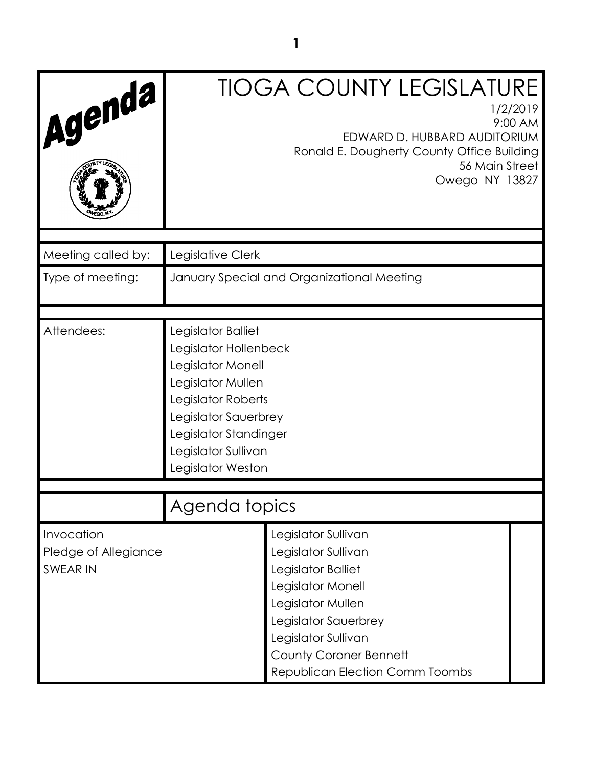| Agenda                                                | <b>TIOGA COUNTY LEGISLATURE</b><br>1/2/2019<br>9:00 AM<br>EDWARD D. HUBBARD AUDITORIUM<br>Ronald E. Dougherty County Office Building<br>56 Main Street<br>Owego NY 13827                                                      |  |  |
|-------------------------------------------------------|-------------------------------------------------------------------------------------------------------------------------------------------------------------------------------------------------------------------------------|--|--|
| Meeting called by:                                    | Legislative Clerk                                                                                                                                                                                                             |  |  |
| Type of meeting:                                      | January Special and Organizational Meeting                                                                                                                                                                                    |  |  |
| Attendees:                                            | Legislator Balliet<br>Legislator Hollenbeck<br>Legislator Monell<br>Legislator Mullen<br>Legislator Roberts<br>Legislator Sauerbrey<br>Legislator Standinger<br>Legislator Sullivan<br>Legislator Weston                      |  |  |
|                                                       | Agenda topics                                                                                                                                                                                                                 |  |  |
| Invocation<br>Pledge of Allegiance<br><b>SWEAR IN</b> | Legislator Sullivan<br>Legislator Sullivan<br>Legislator Balliet<br>Legislator Monell<br>Legislator Mullen<br>Legislator Sauerbrey<br>Legislator Sullivan<br><b>County Coroner Bennett</b><br>Republican Election Comm Toombs |  |  |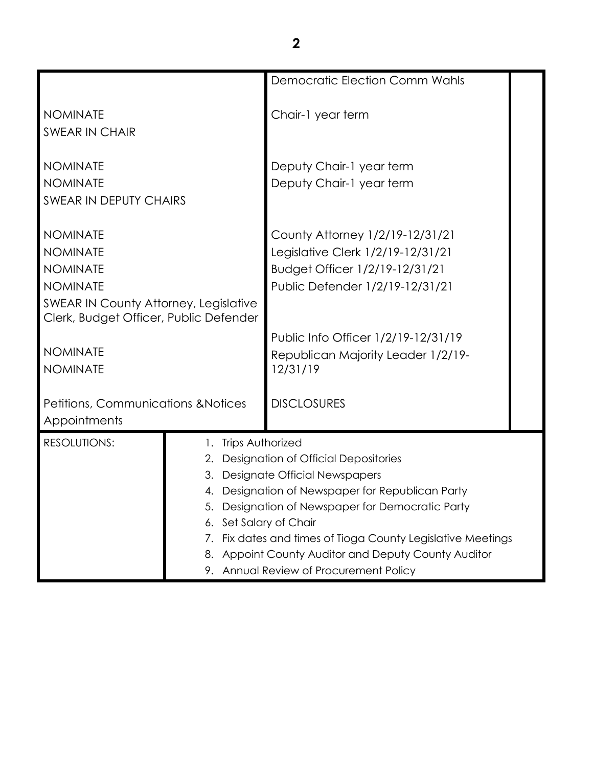|                                                                                                                                                                                                          |                                                     | <b>Democratic Election Comm Wahls</b>                                                                                                                                                                                                                                                                                                            |  |
|----------------------------------------------------------------------------------------------------------------------------------------------------------------------------------------------------------|-----------------------------------------------------|--------------------------------------------------------------------------------------------------------------------------------------------------------------------------------------------------------------------------------------------------------------------------------------------------------------------------------------------------|--|
| <b>NOMINATE</b><br><b>SWEAR IN CHAIR</b>                                                                                                                                                                 |                                                     | Chair-1 year term                                                                                                                                                                                                                                                                                                                                |  |
| <b>NOMINATE</b><br><b>NOMINATE</b><br><b>SWEAR IN DEPUTY CHAIRS</b>                                                                                                                                      |                                                     | Deputy Chair-1 year term<br>Deputy Chair-1 year term                                                                                                                                                                                                                                                                                             |  |
| <b>NOMINATE</b><br><b>NOMINATE</b><br><b>NOMINATE</b><br><b>NOMINATE</b><br><b>SWEAR IN County Attorney, Legislative</b><br>Clerk, Budget Officer, Public Defender<br><b>NOMINATE</b><br><b>NOMINATE</b> |                                                     | County Attorney 1/2/19-12/31/21<br>Legislative Clerk 1/2/19-12/31/21<br>Budget Officer 1/2/19-12/31/21<br>Public Defender 1/2/19-12/31/21<br>Public Info Officer 1/2/19-12/31/19<br>Republican Majority Leader 1/2/19-<br>12/31/19                                                                                                               |  |
| <b>Petitions, Communications &amp; Notices</b><br>Appointments                                                                                                                                           |                                                     | <b>DISCLOSURES</b>                                                                                                                                                                                                                                                                                                                               |  |
| <b>RESOLUTIONS:</b>                                                                                                                                                                                      | 1. Trips Authorized<br>5.<br>6. Set Salary of Chair | 2. Designation of Official Depositories<br>3. Designate Official Newspapers<br>4. Designation of Newspaper for Republican Party<br>Designation of Newspaper for Democratic Party<br>7. Fix dates and times of Tioga County Legislative Meetings<br>8. Appoint County Auditor and Deputy County Auditor<br>9. Annual Review of Procurement Policy |  |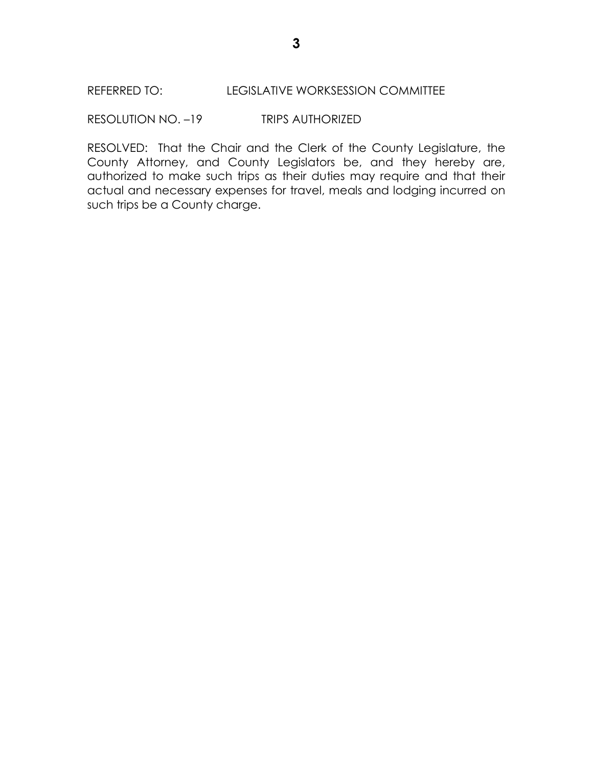RESOLUTION NO. –19 TRIPS AUTHORIZED

RESOLVED: That the Chair and the Clerk of the County Legislature, the County Attorney, and County Legislators be, and they hereby are, authorized to make such trips as their duties may require and that their actual and necessary expenses for travel, meals and lodging incurred on such trips be a County charge.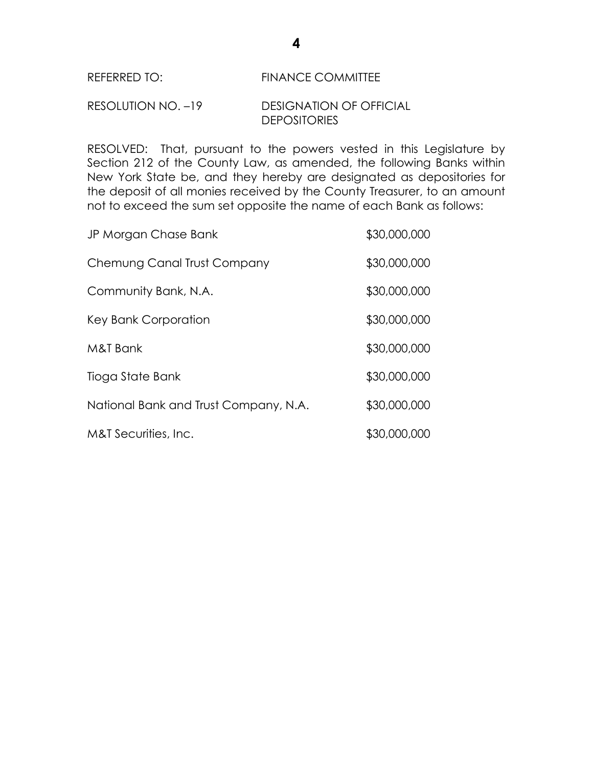### REFERRED TO: FINANCE COMMITTEE

# RESOLUTION NO. –19 DESIGNATION OF OFFICIAL **DEPOSITORIES**

RESOLVED: That, pursuant to the powers vested in this Legislature by Section 212 of the County Law, as amended, the following Banks within New York State be, and they hereby are designated as depositories for the deposit of all monies received by the County Treasurer, to an amount not to exceed the sum set opposite the name of each Bank as follows:

| JP Morgan Chase Bank                  | \$30,000,000 |
|---------------------------------------|--------------|
| Chemung Canal Trust Company           | \$30,000,000 |
| Community Bank, N.A.                  | \$30,000,000 |
| Key Bank Corporation                  | \$30,000,000 |
| M&T Bank                              | \$30,000,000 |
| Tioga State Bank                      | \$30,000,000 |
| National Bank and Trust Company, N.A. | \$30,000,000 |
| M&T Securities, Inc.                  | \$30,000,000 |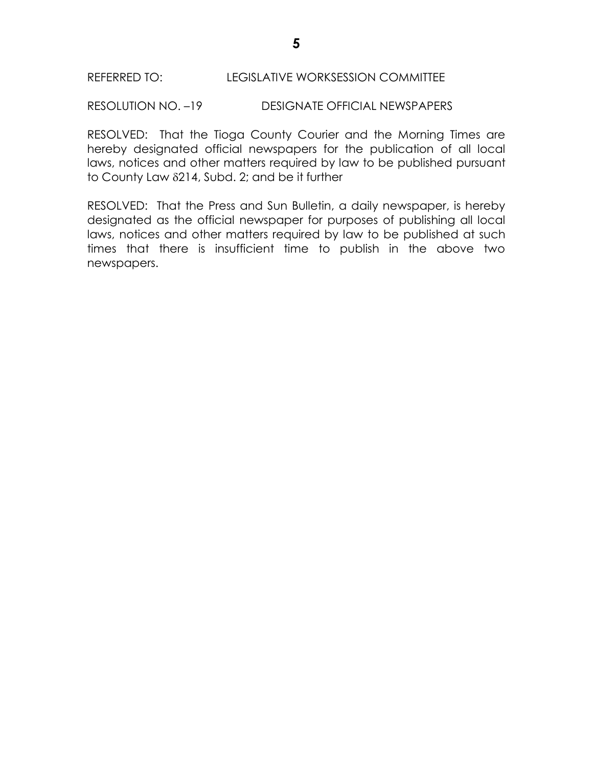RESOLUTION NO. –19 DESIGNATE OFFICIAL NEWSPAPERS

RESOLVED: That the Tioga County Courier and the Morning Times are hereby designated official newspapers for the publication of all local laws, notices and other matters required by law to be published pursuant to County Law  $\delta$ 214, Subd. 2; and be it further

RESOLVED: That the Press and Sun Bulletin, a daily newspaper, is hereby designated as the official newspaper for purposes of publishing all local laws, notices and other matters required by law to be published at such times that there is insufficient time to publish in the above two newspapers.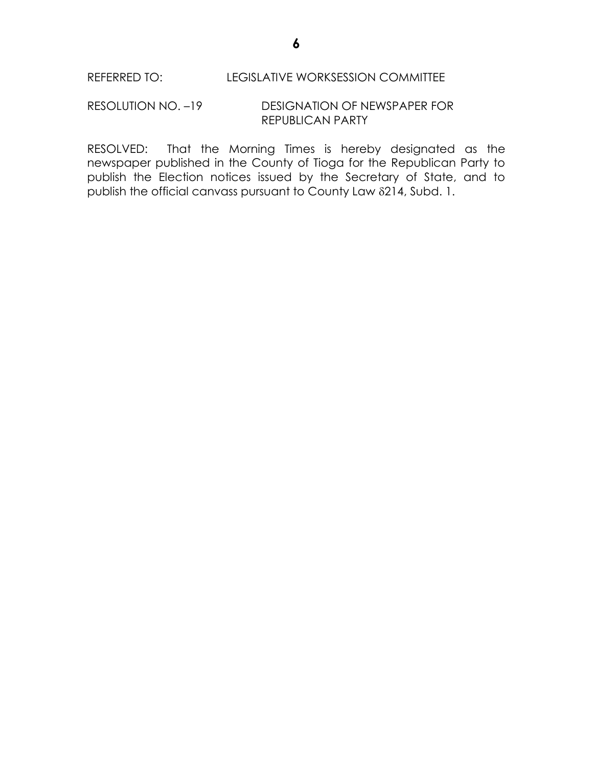#### RESOLUTION NO. –19 DESIGNATION OF NEWSPAPER FOR REPUBLICAN PARTY

RESOLVED: That the Morning Times is hereby designated as the newspaper published in the County of Tioga for the Republican Party to publish the Election notices issued by the Secretary of State, and to publish the official canvass pursuant to County Law 214, Subd. 1.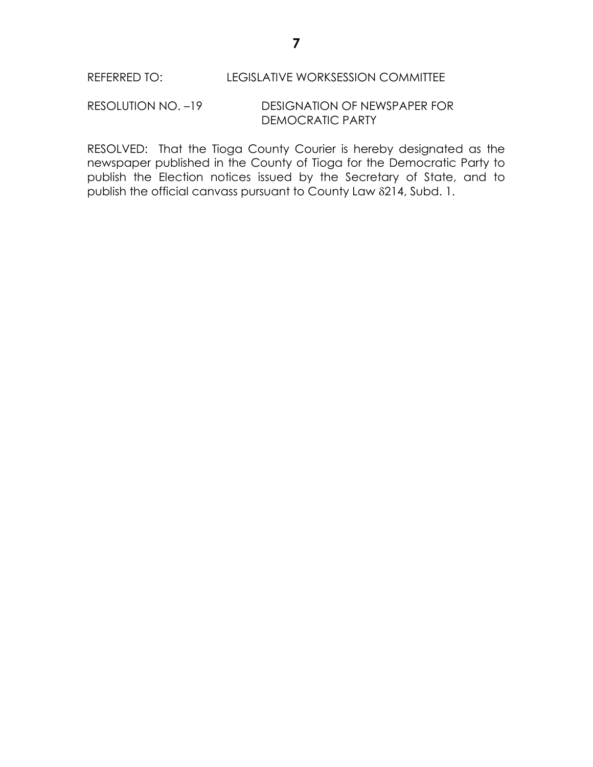## RESOLUTION NO. –19 DESIGNATION OF NEWSPAPER FOR DEMOCRATIC PARTY

RESOLVED: That the Tioga County Courier is hereby designated as the newspaper published in the County of Tioga for the Democratic Party to publish the Election notices issued by the Secretary of State, and to publish the official canvass pursuant to County Law 214, Subd. 1.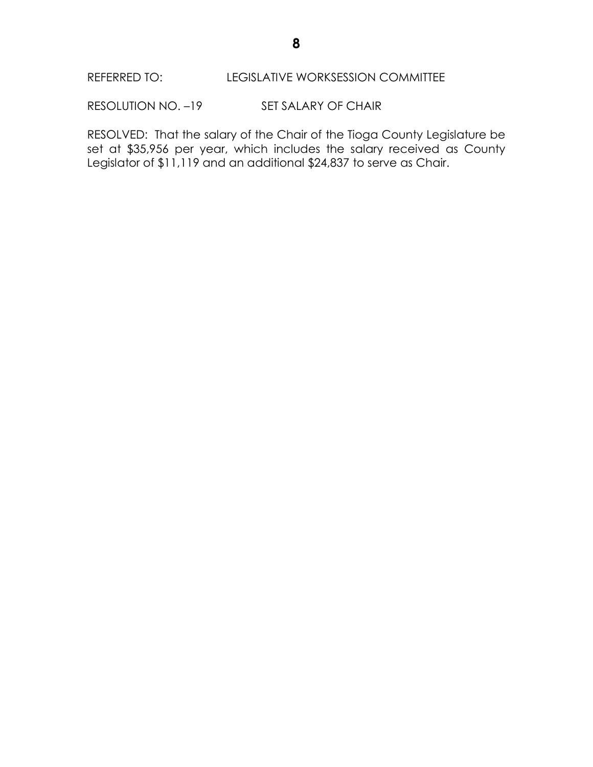# REFERRED TO: LEGISLATIVE WORKSESSION COMMITTEE

RESOLUTION NO. -19 SET SALARY OF CHAIR

RESOLVED: That the salary of the Chair of the Tioga County Legislature be set at \$35,956 per year, which includes the salary received as County Legislator of \$11,119 and an additional \$24,837 to serve as Chair.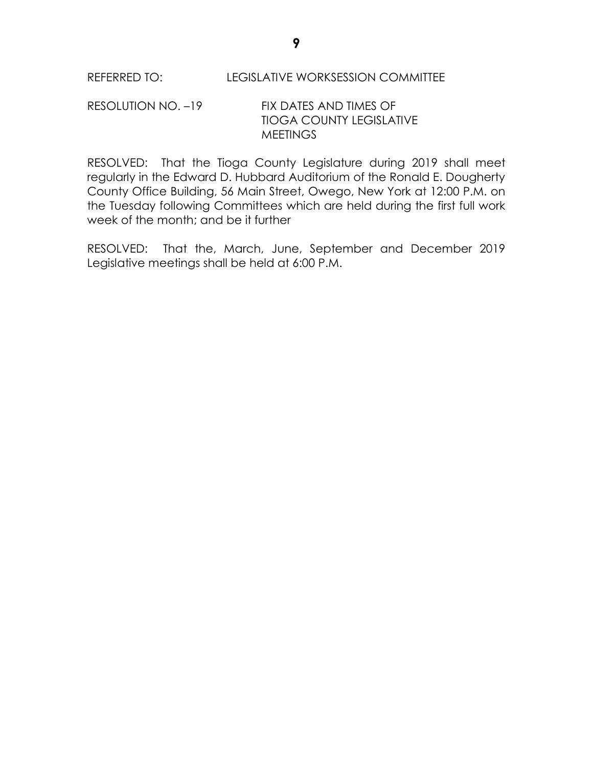## RESOLUTION NO. –19 FIX DATES AND TIMES OF TIOGA COUNTY LEGISLATIVE **MEETINGS**

RESOLVED: That the Tioga County Legislature during 2019 shall meet regularly in the Edward D. Hubbard Auditorium of the Ronald E. Dougherty County Office Building, 56 Main Street, Owego, New York at 12:00 P.M. on the Tuesday following Committees which are held during the first full work week of the month; and be it further

RESOLVED: That the, March, June, September and December 2019 Legislative meetings shall be held at 6:00 P.M.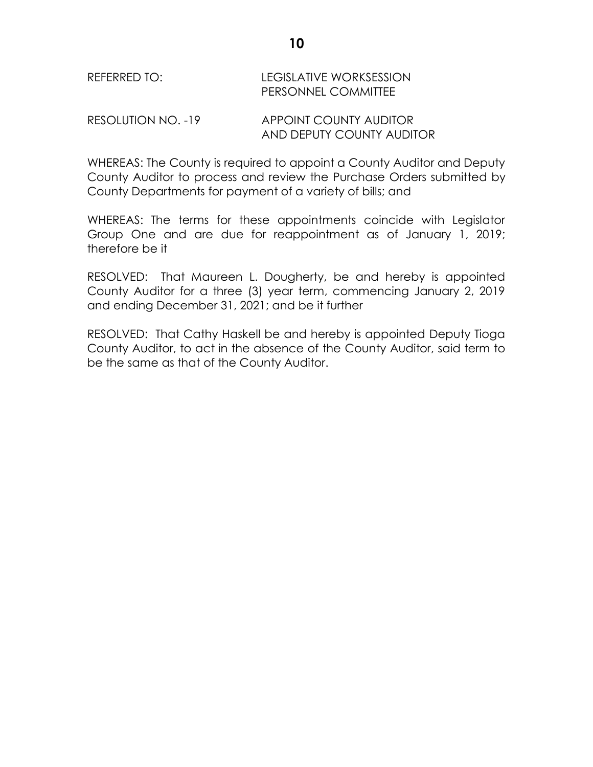# REFERRED TO: LEGISLATIVE WORKSESSION PERSONNEL COMMITTEE

RESOLUTION NO. -19 APPOINT COUNTY AUDITOR AND DEPUTY COUNTY AUDITOR

WHEREAS: The County is required to appoint a County Auditor and Deputy County Auditor to process and review the Purchase Orders submitted by County Departments for payment of a variety of bills; and

WHEREAS: The terms for these appointments coincide with Legislator Group One and are due for reappointment as of January 1, 2019; therefore be it

RESOLVED: That Maureen L. Dougherty, be and hereby is appointed County Auditor for a three (3) year term, commencing January 2, 2019 and ending December 31, 2021; and be it further

RESOLVED: That Cathy Haskell be and hereby is appointed Deputy Tioga County Auditor, to act in the absence of the County Auditor, said term to be the same as that of the County Auditor.